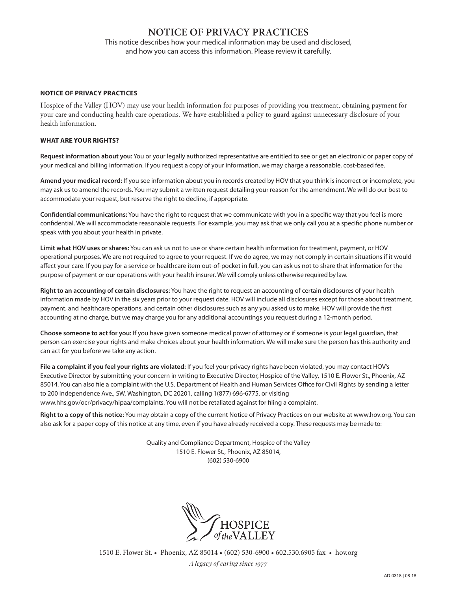# **NOTICE OF PRIVACY PRACTICES**

This notice describes how your medical information may be used and disclosed, and how you can access this information. Please review it carefully.

## **NOTICE OF PRIVACY PRACTICES**

Hospice of the Valley (HOV) may use your health information for purposes of providing you treatment, obtaining payment for your care and conducting health care operations. We have established a policy to guard against unnecessary disclosure of your health information.

## **WHAT ARE YOUR RIGHTS?**

**Request information about you:** You or your legally authorized representative are entitled to see or get an electronic or paper copy of your medical and billing information. If you request a copy of your information, we may charge a reasonable, cost-based fee.

**Amend your medical record:** If you see information about you in records created by HOV that you think is incorrect or incomplete, you may ask us to amend the records. You may submit a written request detailing your reason for the amendment. We will do our best to accommodate your request, but reserve the right to decline, if appropriate.

**Confidential communications:** You have the right to request that we communicate with you in a specific way that you feel is more confidential. We will accommodate reasonable requests. For example, you may ask that we only call you at a specific phone number or speak with you about your health in private.

**Limit what HOV uses or shares:** You can ask us not to use or share certain health information for treatment, payment, or HOV operational purposes. We are not required to agree to your request. If we do agree, we may not comply in certain situations if it would affect your care. If you pay for a service or healthcare item out-of-pocket in full, you can ask us not to share that information for the purpose of payment or our operations with your health insurer. We will comply unless otherwise required by law.

**Right to an accounting of certain disclosures:** You have the right to request an accounting of certain disclosures of your health information made by HOV in the six years prior to your request date. HOV will include all disclosures except for those about treatment, payment, and healthcare operations, and certain other disclosures such as any you asked us to make. HOV will provide the first accounting at no charge, but we may charge you for any additional accountings you request during a 12-month period.

**Choose someone to act for you:** If you have given someone medical power of attorney or if someone is your legal guardian, that person can exercise your rights and make choices about your health information. We will make sure the person has this authority and can act for you before we take any action.

**File a complaint if you feel your rights are violated:** If you feel your privacy rights have been violated, you may contact HOV's Executive Director by submitting your concern in writing to Executive Director, Hospice of the Valley, 1510 E. Flower St., Phoenix, AZ 85014. You can also file a complaint with the U.S. Department of Health and Human Services Office for Civil Rights by sending a letter to 200 Independence Ave., SW, Washington, DC 20201, calling 1(877) 696-6775, or visiting www.hhs.gov/ocr/privacy/hipaa/complaints. You will not be retaliated against for filing a complaint.

**Right to a copy of this notice:** You may obtain a copy of the current Notice of Privacy Practices on our website at www.hov.org. You can also ask for a paper copy of this notice at any time, even if you have already received a copy. These requests may be made to:

> Quality and Compliance Department, Hospice of the Valley 1510 E. Flower St., Phoenix, AZ 85014, (602) 530-6900



1510 E. Flower St. • Phoenix, AZ 85014 • (602) 530-6900 • 602.530.6905 fax • hov.org *A legacy of caring since 1977*